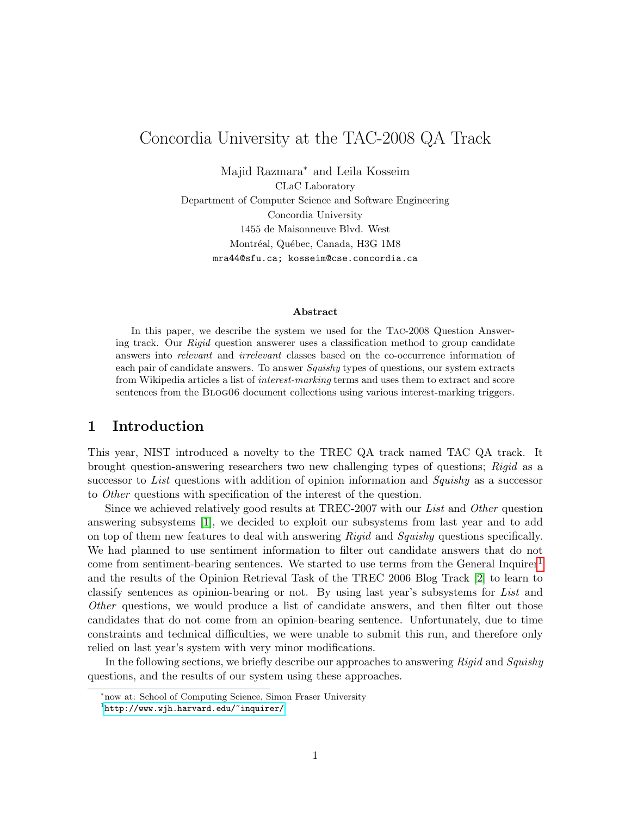# Concordia University at the TAC-2008 QA Track

Majid Razmara<sup>∗</sup> and Leila Kosseim CLaC Laboratory Department of Computer Science and Software Engineering Concordia University 1455 de Maisonneuve Blvd. West Montréal, Québec, Canada, H3G 1M8 mra44@sfu.ca; kosseim@cse.concordia.ca

#### Abstract

In this paper, we describe the system we used for the Tac-2008 Question Answering track. Our *Rigid* question answerer uses a classification method to group candidate answers into relevant and irrelevant classes based on the co-occurrence information of each pair of candidate answers. To answer Squishy types of questions, our system extracts from Wikipedia articles a list of interest-marking terms and uses them to extract and score sentences from the Blog06 document collections using various interest-marking triggers.

## 1 Introduction

This year, NIST introduced a novelty to the TREC QA track named TAC QA track. It brought question-answering researchers two new challenging types of questions; Rigid as a successor to List questions with addition of opinion information and Squishy as a successor to Other questions with specification of the interest of the question.

Since we achieved relatively good results at TREC-2007 with our List and Other question answering subsystems [\[1\]](#page-7-0), we decided to exploit our subsystems from last year and to add on top of them new features to deal with answering Rigid and Squishy questions specifically. We had planned to use sentiment information to filter out candidate answers that do not come from sentiment-bearing sentences. We started to use terms from the General Inquirer<sup>[1](#page-0-0)</sup> and the results of the Opinion Retrieval Task of the TREC 2006 Blog Track [\[2\]](#page-7-1) to learn to classify sentences as opinion-bearing or not. By using last year's subsystems for List and Other questions, we would produce a list of candidate answers, and then filter out those candidates that do not come from an opinion-bearing sentence. Unfortunately, due to time constraints and technical difficulties, we were unable to submit this run, and therefore only relied on last year's system with very minor modifications.

In the following sections, we briefly describe our approaches to answering Rigid and Squishy questions, and the results of our system using these approaches.

<sup>∗</sup>now at: School of Computing Science, Simon Fraser University

<span id="page-0-0"></span> $1$ <http://www.wjh.harvard.edu/~inquirer/>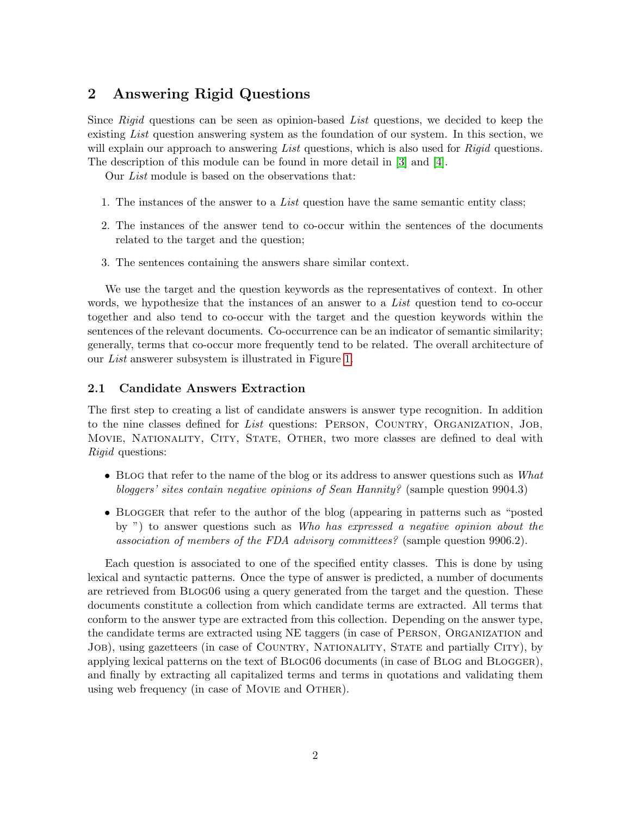# 2 Answering Rigid Questions

Since  $Right$  questions can be seen as opinion-based List questions, we decided to keep the existing List question answering system as the foundation of our system. In this section, we will explain our approach to answering List questions, which is also used for Rigid questions. The description of this module can be found in more detail in [\[3\]](#page-7-2) and [\[4\]](#page-7-3).

Our List module is based on the observations that:

- 1. The instances of the answer to a List question have the same semantic entity class;
- 2. The instances of the answer tend to co-occur within the sentences of the documents related to the target and the question;
- 3. The sentences containing the answers share similar context.

We use the target and the question keywords as the representatives of context. In other words, we hypothesize that the instances of an answer to a List question tend to co-occur together and also tend to co-occur with the target and the question keywords within the sentences of the relevant documents. Co-occurrence can be an indicator of semantic similarity; generally, terms that co-occur more frequently tend to be related. The overall architecture of our List answerer subsystem is illustrated in Figure [1.](#page-2-0)

### 2.1 Candidate Answers Extraction

The first step to creating a list of candidate answers is answer type recognition. In addition to the nine classes defined for List questions: PERSON, COUNTRY, ORGANIZATION, JOB, Movie, Nationality, City, State, Other, two more classes are defined to deal with Rigid questions:

- BLOG that refer to the name of the blog or its address to answer questions such as What bloggers' sites contain negative opinions of Sean Hannity? (sample question 9904.3)
- BLOGGER that refer to the author of the blog (appearing in patterns such as "posted by ") to answer questions such as Who has expressed a negative opinion about the association of members of the FDA advisory committees? (sample question 9906.2).

Each question is associated to one of the specified entity classes. This is done by using lexical and syntactic patterns. Once the type of answer is predicted, a number of documents are retrieved from Blog06 using a query generated from the target and the question. These documents constitute a collection from which candidate terms are extracted. All terms that conform to the answer type are extracted from this collection. Depending on the answer type, the candidate terms are extracted using NE taggers (in case of Person, Organization and JOB), using gazetteers (in case of COUNTRY, NATIONALITY, STATE and partially CITY), by applying lexical patterns on the text of BLOG06 documents (in case of BLOG and BLOGGER), and finally by extracting all capitalized terms and terms in quotations and validating them using web frequency (in case of MOVIE and OTHER).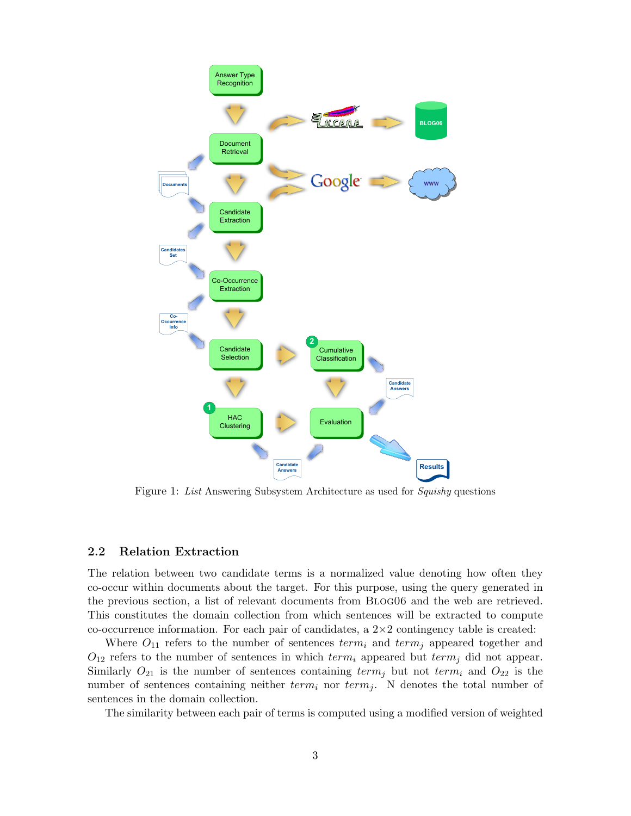

<span id="page-2-0"></span>Figure 1: List Answering Subsystem Architecture as used for Squishy questions

### 2.2 Relation Extraction

The relation between two candidate terms is a normalized value denoting how often they co-occur within documents about the target. For this purpose, using the query generated in the previous section, a list of relevant documents from Blog06 and the web are retrieved. This constitutes the domain collection from which sentences will be extracted to compute co-occurrence information. For each pair of candidates, a  $2\times 2$  contingency table is created:

Where  $O_{11}$  refers to the number of sentences  $term_i$  and  $term_j$  appeared together and  $O_{12}$  refers to the number of sentences in which  $term_i$  appeared but  $term_j$  did not appear. Similarly  $O_{21}$  is the number of sentences containing term<sub>j</sub> but not term<sub>i</sub> and  $O_{22}$  is the number of sentences containing neither  $term_i$  nor  $term_j$ . N denotes the total number of sentences in the domain collection.

The similarity between each pair of terms is computed using a modified version of weighted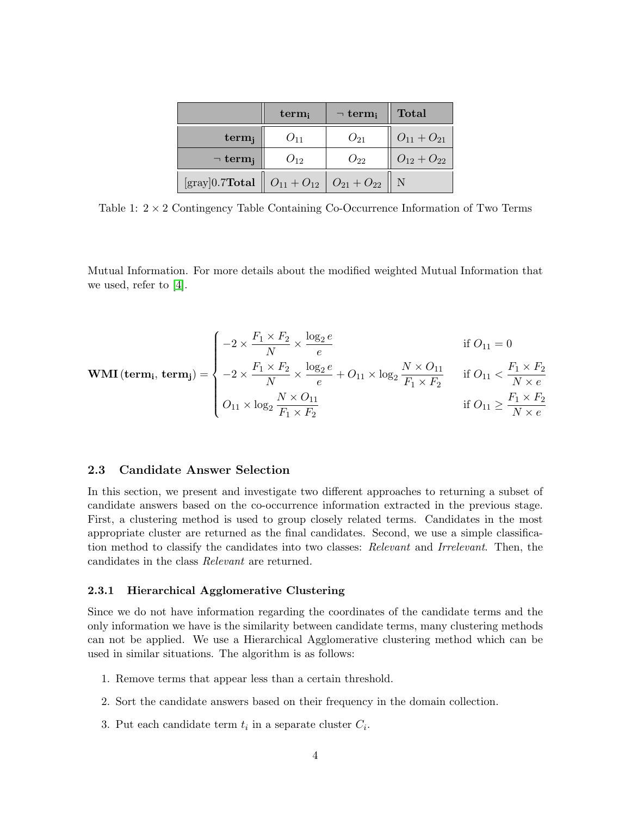|                                                                                                      | term <sub>i</sub> | $\neg$ term <sub>i</sub> | <b>Total</b>      |
|------------------------------------------------------------------------------------------------------|-------------------|--------------------------|-------------------|
| $term_i$                                                                                             |                   | $O_{21}$                 | $O_{11} + O_{21}$ |
| $\neg$ term <sub>i</sub>                                                                             | $O_{12}$          | $O_{22}$                 | $O_{12} + O_{22}$ |
| [gray]0.7Total $\begin{array}{ c c c c c c } \hline \end{array}$ $O_{11} + O_{12}$ $O_{21} + O_{22}$ |                   |                          |                   |

Table 1:  $2 \times 2$  Contingency Table Containing Co-Occurrence Information of Two Terms

Mutual Information. For more details about the modified weighted Mutual Information that we used, refer to [\[4\]](#page-7-3).

$$
\text{WMI}(\text{term}_{i}, \text{term}_{j}) = \begin{cases}\n-2 \times \frac{F_{1} \times F_{2}}{N} \times \frac{\log_{2} e}{e} & \text{if } O_{11} = 0 \\
-2 \times \frac{F_{1} \times F_{2}}{N} \times \frac{\log_{2} e}{e} + O_{11} \times \log_{2} \frac{N \times O_{11}}{F_{1} \times F_{2}} & \text{if } O_{11} < \frac{F_{1} \times F_{2}}{N \times e} \\
O_{11} \times \log_{2} \frac{N \times O_{11}}{F_{1} \times F_{2}} & \text{if } O_{11} \ge \frac{F_{1} \times F_{2}}{N \times e}\n\end{cases}
$$

### <span id="page-3-0"></span>2.3 Candidate Answer Selection

In this section, we present and investigate two different approaches to returning a subset of candidate answers based on the co-occurrence information extracted in the previous stage. First, a clustering method is used to group closely related terms. Candidates in the most appropriate cluster are returned as the final candidates. Second, we use a simple classification method to classify the candidates into two classes: Relevant and Irrelevant. Then, the candidates in the class Relevant are returned.

#### 2.3.1 Hierarchical Agglomerative Clustering

Since we do not have information regarding the coordinates of the candidate terms and the only information we have is the similarity between candidate terms, many clustering methods can not be applied. We use a Hierarchical Agglomerative clustering method which can be used in similar situations. The algorithm is as follows:

- 1. Remove terms that appear less than a certain threshold.
- 2. Sort the candidate answers based on their frequency in the domain collection.
- 3. Put each candidate term  $t_i$  in a separate cluster  $C_i$ .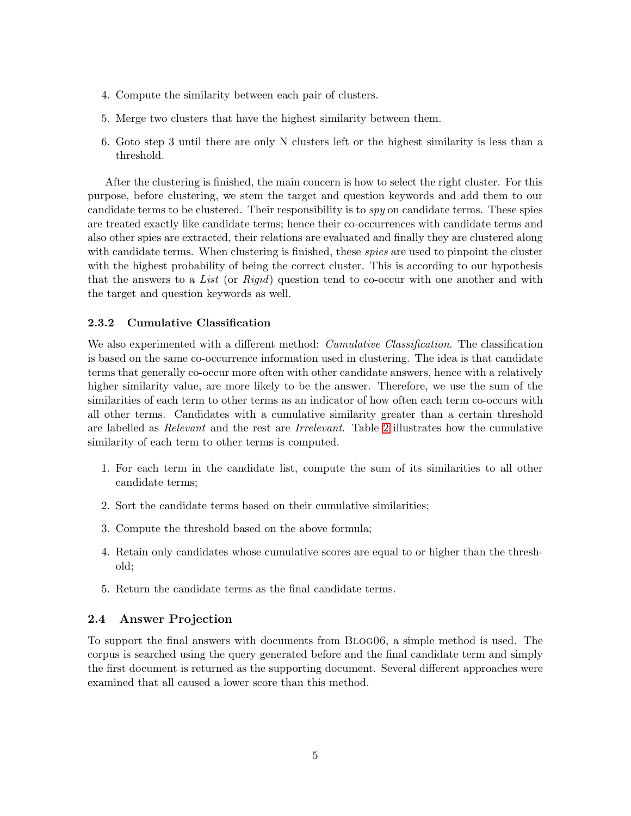- 4. Compute the similarity between each pair of clusters.
- 5. Merge two clusters that have the highest similarity between them.
- 6. Goto step 3 until there are only N clusters left or the highest similarity is less than a threshold.

After the clustering is finished, the main concern is how to select the right cluster. For this purpose, before clustering, we stem the target and question keywords and add them to our candidate terms to be clustered. Their responsibility is to spy on candidate terms. These spies are treated exactly like candidate terms; hence their co-occurrences with candidate terms and also other spies are extracted, their relations are evaluated and finally they are clustered along with candidate terms. When clustering is finished, these *spies* are used to pinpoint the cluster with the highest probability of being the correct cluster. This is according to our hypothesis that the answers to a List (or  $Rigid$ ) question tend to co-occur with one another and with the target and question keywords as well.

#### 2.3.2 Cumulative Classification

We also experimented with a different method: *Cumulative Classification*. The classification is based on the same co-occurrence information used in clustering. The idea is that candidate terms that generally co-occur more often with other candidate answers, hence with a relatively higher similarity value, are more likely to be the answer. Therefore, we use the sum of the similarities of each term to other terms as an indicator of how often each term co-occurs with all other terms. Candidates with a cumulative similarity greater than a certain threshold are labelled as Relevant and the rest are Irrelevant. Table [2](#page-5-0) illustrates how the cumulative similarity of each term to other terms is computed.

- 1. For each term in the candidate list, compute the sum of its similarities to all other candidate terms;
- 2. Sort the candidate terms based on their cumulative similarities;
- 3. Compute the threshold based on the above formula;
- 4. Retain only candidates whose cumulative scores are equal to or higher than the threshold;
- 5. Return the candidate terms as the final candidate terms.

### 2.4 Answer Projection

To support the final answers with documents from Blog06, a simple method is used. The corpus is searched using the query generated before and the final candidate term and simply the first document is returned as the supporting document. Several different approaches were examined that all caused a lower score than this method.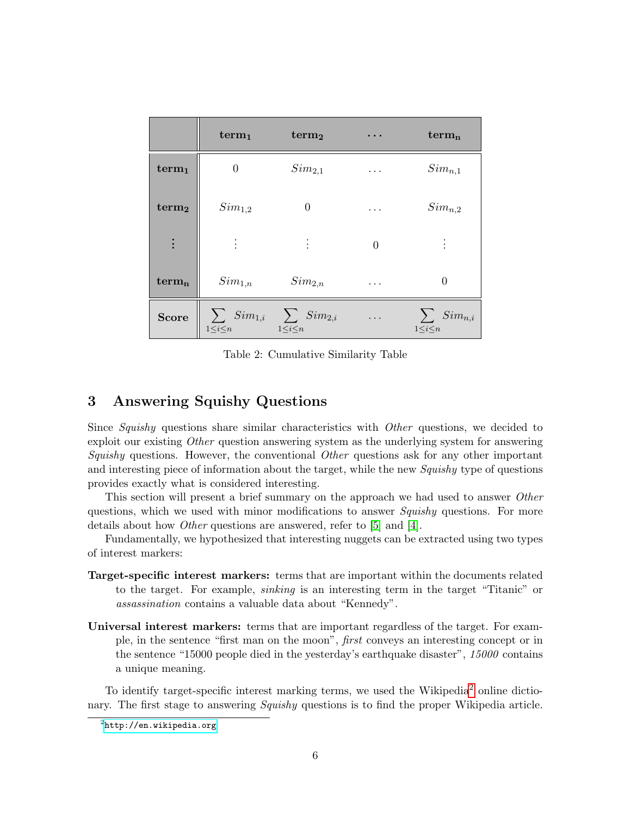|                   | term <sub>1</sub>                                                   | term <sub>2</sub> | $\cdots$   | $term_n$                           |
|-------------------|---------------------------------------------------------------------|-------------------|------------|------------------------------------|
| term <sub>1</sub> | $\theta$                                                            | $Sim_{2,1}$       | $\cdots$   | $Sim_{n,1}$                        |
| term <sub>2</sub> | $Sim_{1,2}$                                                         |                   | .          | $Sim_{n,2}$                        |
| $\vdots$          | $\bullet$                                                           | $\bullet$         | $\theta$   |                                    |
| $term_{n}$        | $Sim_{1,n}$                                                         | $Sim_{2,n}$       | $\cdots$   | 0                                  |
| Score             | $\Big \sum_{1\leq i\leq n}Sim_{1,i} \sum_{1\leq i\leq n} Sim_{2,i}$ |                   | $\ldots$ . | $\sum_{1 \leq i \leq n} Sim_{n,i}$ |

<span id="page-5-0"></span>Table 2: Cumulative Similarity Table

# 3 Answering Squishy Questions

Since Squishy questions share similar characteristics with Other questions, we decided to exploit our existing Other question answering system as the underlying system for answering Squishy questions. However, the conventional  $Other$  questions ask for any other important and interesting piece of information about the target, while the new Squishy type of questions provides exactly what is considered interesting.

This section will present a brief summary on the approach we had used to answer Other questions, which we used with minor modifications to answer Squishy questions. For more details about how Other questions are answered, refer to [\[5\]](#page-7-4) and [\[4\]](#page-7-3).

Fundamentally, we hypothesized that interesting nuggets can be extracted using two types of interest markers:

- Target-specific interest markers: terms that are important within the documents related to the target. For example, sinking is an interesting term in the target "Titanic" or assassination contains a valuable data about "Kennedy".
- Universal interest markers: terms that are important regardless of the target. For example, in the sentence "first man on the moon", first conveys an interesting concept or in the sentence "15000 people died in the yesterday's earthquake disaster", 15000 contains a unique meaning.

To identify target-specific interest marking terms, we used the Wikipedia<sup>[2](#page-5-1)</sup> online dictionary. The first stage to answering Squishy questions is to find the proper Wikipedia article.

<span id="page-5-1"></span> $^{2}$ <http://en.wikipedia.org>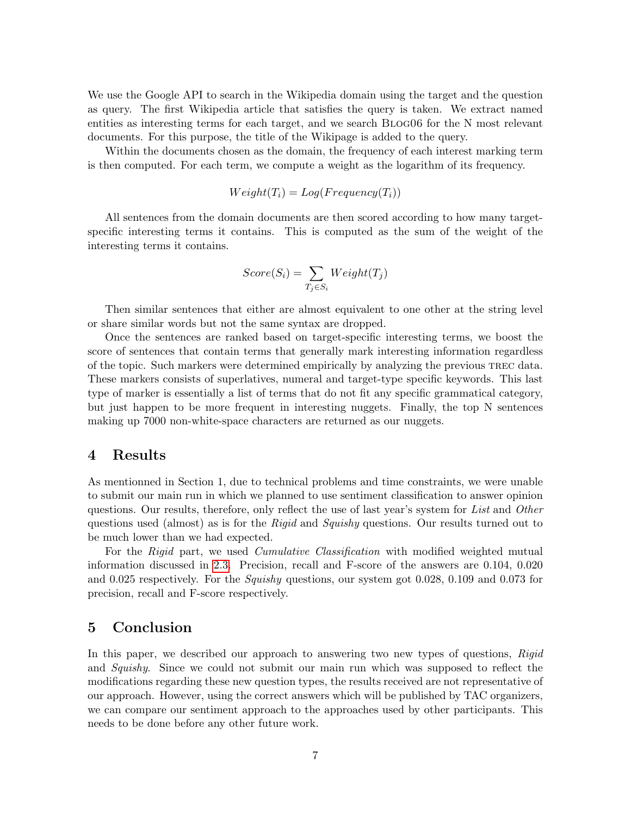We use the Google API to search in the Wikipedia domain using the target and the question as query. The first Wikipedia article that satisfies the query is taken. We extract named entities as interesting terms for each target, and we search Blog06 for the N most relevant documents. For this purpose, the title of the Wikipage is added to the query.

Within the documents chosen as the domain, the frequency of each interest marking term is then computed. For each term, we compute a weight as the logarithm of its frequency.

$$
Weight(T_i) = Log(Frequency(T_i))
$$

All sentences from the domain documents are then scored according to how many targetspecific interesting terms it contains. This is computed as the sum of the weight of the interesting terms it contains.

$$
Score(S_i) = \sum_{T_j \in S_i} Weight(T_j)
$$

Then similar sentences that either are almost equivalent to one other at the string level or share similar words but not the same syntax are dropped.

Once the sentences are ranked based on target-specific interesting terms, we boost the score of sentences that contain terms that generally mark interesting information regardless of the topic. Such markers were determined empirically by analyzing the previous trec data. These markers consists of superlatives, numeral and target-type specific keywords. This last type of marker is essentially a list of terms that do not fit any specific grammatical category, but just happen to be more frequent in interesting nuggets. Finally, the top N sentences making up 7000 non-white-space characters are returned as our nuggets.

### 4 Results

As mentionned in Section 1, due to technical problems and time constraints, we were unable to submit our main run in which we planned to use sentiment classification to answer opinion questions. Our results, therefore, only reflect the use of last year's system for List and Other questions used (almost) as is for the Rigid and Squishy questions. Our results turned out to be much lower than we had expected.

For the Rigid part, we used *Cumulative Classification* with modified weighted mutual information discussed in [2.3.](#page-3-0) Precision, recall and F-score of the answers are 0.104, 0.020 and 0.025 respectively. For the *Squishy* questions, our system got 0.028, 0.109 and 0.073 for precision, recall and F-score respectively.

# 5 Conclusion

In this paper, we described our approach to answering two new types of questions, Rigid and Squishy. Since we could not submit our main run which was supposed to reflect the modifications regarding these new question types, the results received are not representative of our approach. However, using the correct answers which will be published by TAC organizers, we can compare our sentiment approach to the approaches used by other participants. This needs to be done before any other future work.